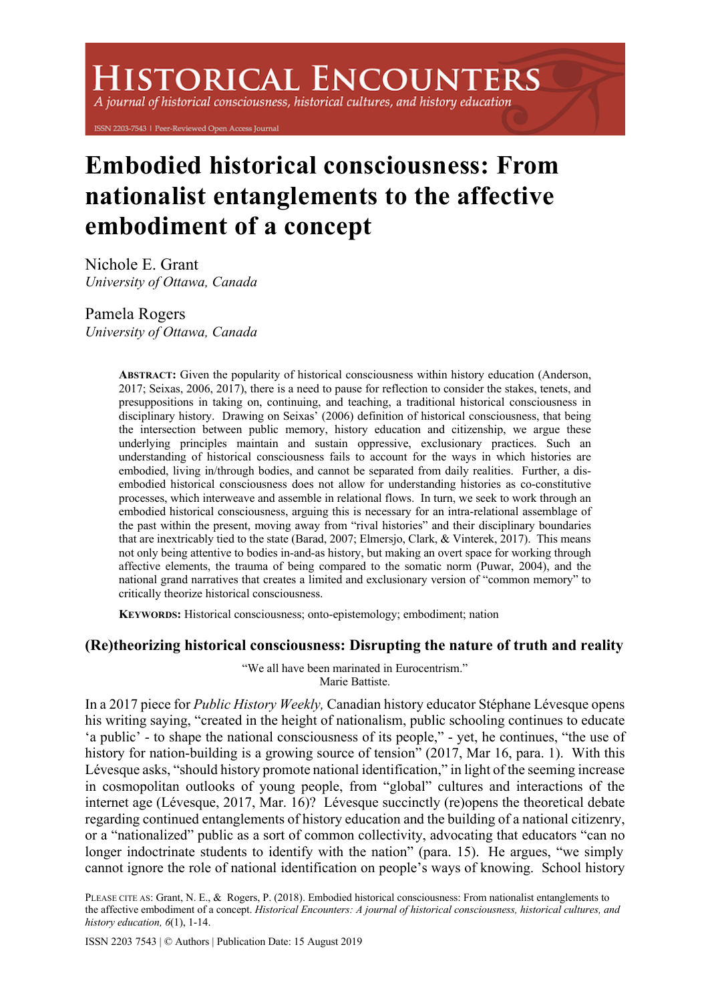# **ISTORICAL ENCOUNTERS**

A journal of historical consciousness, historical cultures, and history education

ISSN 2203-7543 | Peer-Reviewed Open Access Journal

# **Embodied historical consciousness: From nationalist entanglements to the affective embodiment of a concept**

Nichole E. Grant *University of Ottawa, Canada*

Pamela Rogers *University of Ottawa, Canada*

> **ABSTRACT:** Given the popularity of historical consciousness within history education (Anderson, 2017; Seixas, 2006, 2017), there is a need to pause for reflection to consider the stakes, tenets, and presuppositions in taking on, continuing, and teaching, a traditional historical consciousness in disciplinary history. Drawing on Seixas' (2006) definition of historical consciousness, that being the intersection between public memory, history education and citizenship, we argue these underlying principles maintain and sustain oppressive, exclusionary practices. Such an understanding of historical consciousness fails to account for the ways in which histories are embodied, living in/through bodies, and cannot be separated from daily realities. Further, a disembodied historical consciousness does not allow for understanding histories as co-constitutive processes, which interweave and assemble in relational flows. In turn, we seek to work through an embodied historical consciousness, arguing this is necessary for an intra-relational assemblage of the past within the present, moving away from "rival histories" and their disciplinary boundaries that are inextricably tied to the state (Barad, 2007; Elmersjo, Clark, & Vinterek, 2017). This means not only being attentive to bodies in-and-as history, but making an overt space for working through affective elements, the trauma of being compared to the somatic norm (Puwar, 2004), and the national grand narratives that creates a limited and exclusionary version of "common memory" to critically theorize historical consciousness.

**KEYWORDS:** Historical consciousness; onto-epistemology; embodiment; nation

## **(Re)theorizing historical consciousness: Disrupting the nature of truth and reality**

"We all have been marinated in Eurocentrism." Marie Battiste.

In a 2017 piece for *Public History Weekly,* Canadian history educator Stéphane Lévesque opens his writing saying, "created in the height of nationalism, public schooling continues to educate 'a public' - to shape the national consciousness of its people," - yet, he continues, "the use of history for nation-building is a growing source of tension" (2017, Mar 16, para. 1). With this Lévesque asks, "should history promote national identification," in light of the seeming increase in cosmopolitan outlooks of young people, from "global" cultures and interactions of the internet age (Lévesque, 2017, Mar. 16)? Lévesque succinctly (re)opens the theoretical debate regarding continued entanglements of history education and the building of a national citizenry, or a "nationalized" public as a sort of common collectivity, advocating that educators "can no longer indoctrinate students to identify with the nation" (para. 15). He argues, "we simply cannot ignore the role of national identification on people's ways of knowing. School history

PLEASE CITE AS: Grant, N. E., & Rogers, P. (2018). Embodied historical consciousness: From nationalist entanglements to the affective embodiment of a concept. *Historical Encounters: A journal of historical consciousness, historical cultures, and history education, 6*(1), 1-14.

ISSN 2203 7543 | © Authors | Publication Date: 15 August 2019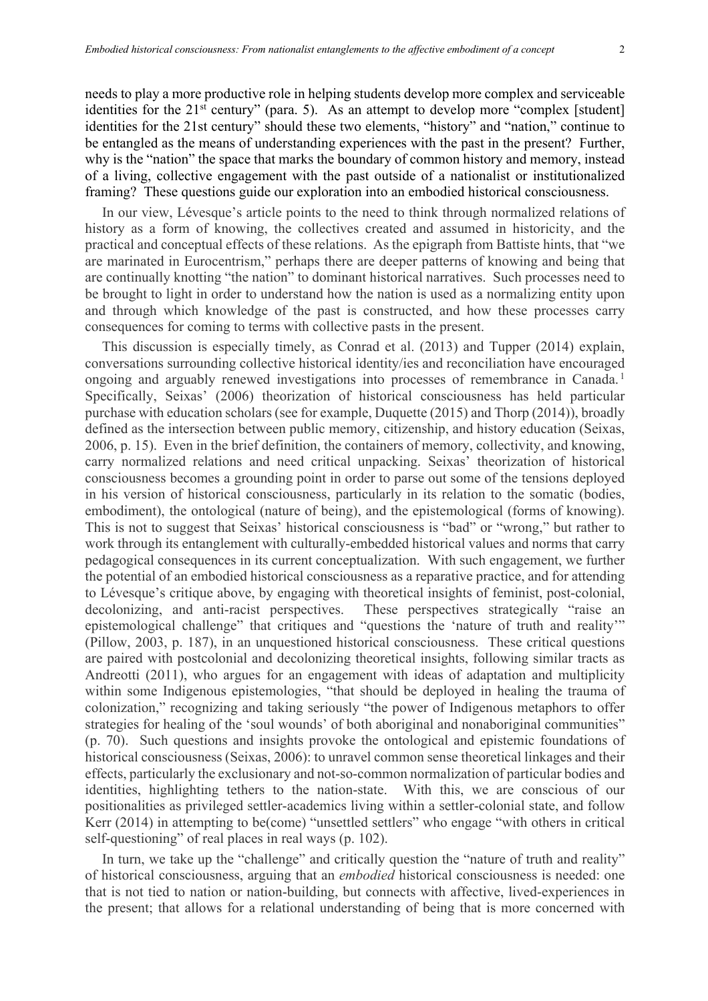needs to play a more productive role in helping students develop more complex and serviceable identities for the 21<sup>st</sup> century" (para. 5). As an attempt to develop more "complex [student] identities for the 21st century" should these two elements, "history" and "nation," continue to be entangled as the means of understanding experiences with the past in the present? Further, why is the "nation" the space that marks the boundary of common history and memory, instead of a living, collective engagement with the past outside of a nationalist or institutionalized framing? These questions guide our exploration into an embodied historical consciousness.

In our view, Lévesque's article points to the need to think through normalized relations of history as a form of knowing, the collectives created and assumed in historicity, and the practical and conceptual effects of these relations. As the epigraph from Battiste hints, that "we are marinated in Eurocentrism," perhaps there are deeper patterns of knowing and being that are continually knotting "the nation" to dominant historical narratives. Such processes need to be brought to light in order to understand how the nation is used as a normalizing entity upon and through which knowledge of the past is constructed, and how these processes carry consequences for coming to terms with collective pasts in the present.

This discussion is especially timely, as Conrad et al. (2013) and Tupper (2014) explain, conversations surrounding collective historical identity/ies and reconciliation have encouraged ongoing and arguably renewed investigations into processes of remembrance in Canada.<sup>1</sup> Specifically, Seixas' (2006) theorization of historical consciousness has held particular purchase with education scholars (see for example, Duquette (2015) and Thorp (2014)), broadly defined as the intersection between public memory, citizenship, and history education (Seixas, 2006, p. 15). Even in the brief definition, the containers of memory, collectivity, and knowing, carry normalized relations and need critical unpacking. Seixas' theorization of historical consciousness becomes a grounding point in order to parse out some of the tensions deployed in his version of historical consciousness, particularly in its relation to the somatic (bodies, embodiment), the ontological (nature of being), and the epistemological (forms of knowing). This is not to suggest that Seixas' historical consciousness is "bad" or "wrong," but rather to work through its entanglement with culturally-embedded historical values and norms that carry pedagogical consequences in its current conceptualization. With such engagement, we further the potential of an embodied historical consciousness as a reparative practice, and for attending to Lévesque's critique above, by engaging with theoretical insights of feminist, post-colonial, decolonizing, and anti-racist perspectives. These perspectives strategically "raise an epistemological challenge" that critiques and "questions the 'nature of truth and reality'" (Pillow, 2003, p. 187), in an unquestioned historical consciousness. These critical questions are paired with postcolonial and decolonizing theoretical insights, following similar tracts as Andreotti (2011), who argues for an engagement with ideas of adaptation and multiplicity within some Indigenous epistemologies, "that should be deployed in healing the trauma of colonization," recognizing and taking seriously "the power of Indigenous metaphors to offer strategies for healing of the 'soul wounds' of both aboriginal and nonaboriginal communities" (p. 70). Such questions and insights provoke the ontological and epistemic foundations of historical consciousness (Seixas, 2006): to unravel common sense theoretical linkages and their effects, particularly the exclusionary and not-so-common normalization of particular bodies and identities, highlighting tethers to the nation-state. With this, we are conscious of our positionalities as privileged settler-academics living within a settler-colonial state, and follow Kerr (2014) in attempting to be(come) "unsettled settlers" who engage "with others in critical self-questioning" of real places in real ways (p. 102).

In turn, we take up the "challenge" and critically question the "nature of truth and reality" of historical consciousness, arguing that an *embodied* historical consciousness is needed: one that is not tied to nation or nation-building, but connects with affective, lived-experiences in the present; that allows for a relational understanding of being that is more concerned with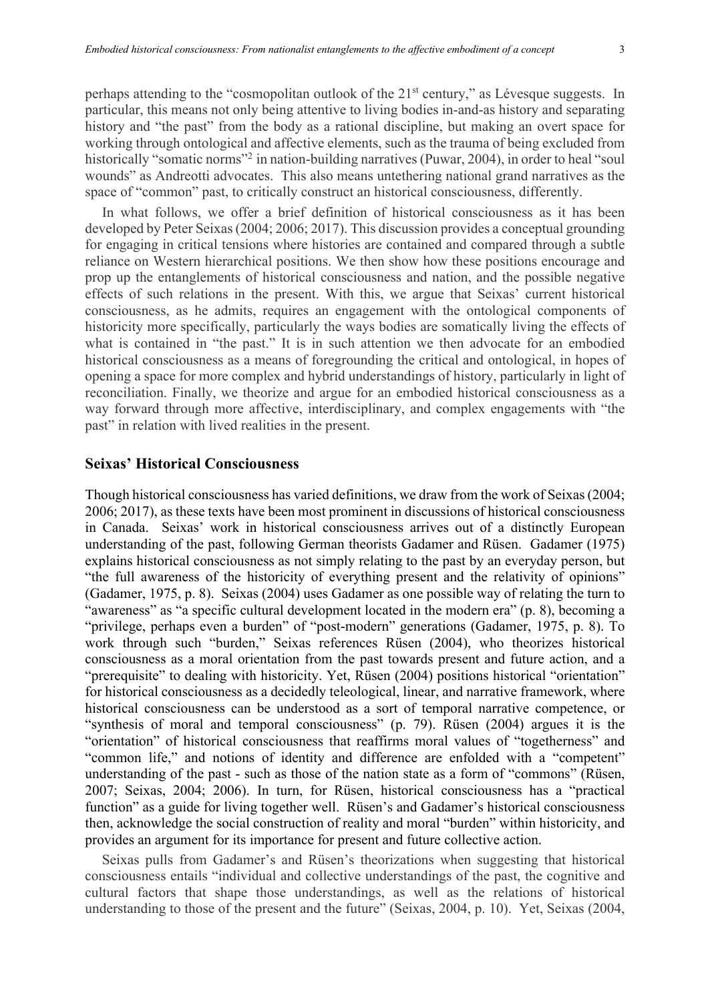perhaps attending to the "cosmopolitan outlook of the 21<sup>st</sup> century," as Lévesque suggests. In particular, this means not only being attentive to living bodies in-and-as history and separating history and "the past" from the body as a rational discipline, but making an overt space for working through ontological and affective elements, such as the trauma of being excluded from historically "somatic norms"<sup>2</sup> in nation-building narratives (Puwar, 2004), in order to heal "soul wounds" as Andreotti advocates. This also means untethering national grand narratives as the space of "common" past, to critically construct an historical consciousness, differently.

In what follows, we offer a brief definition of historical consciousness as it has been developed by Peter Seixas (2004; 2006; 2017). This discussion provides a conceptual grounding for engaging in critical tensions where histories are contained and compared through a subtle reliance on Western hierarchical positions. We then show how these positions encourage and prop up the entanglements of historical consciousness and nation, and the possible negative effects of such relations in the present. With this, we argue that Seixas' current historical consciousness, as he admits, requires an engagement with the ontological components of historicity more specifically, particularly the ways bodies are somatically living the effects of what is contained in "the past." It is in such attention we then advocate for an embodied historical consciousness as a means of foregrounding the critical and ontological, in hopes of opening a space for more complex and hybrid understandings of history, particularly in light of reconciliation. Finally, we theorize and argue for an embodied historical consciousness as a way forward through more affective, interdisciplinary, and complex engagements with "the past" in relation with lived realities in the present.

# **Seixas' Historical Consciousness**

Though historical consciousness has varied definitions, we draw from the work of Seixas (2004; 2006; 2017), as these texts have been most prominent in discussions of historical consciousness in Canada. Seixas' work in historical consciousness arrives out of a distinctly European understanding of the past, following German theorists Gadamer and Rüsen. Gadamer (1975) explains historical consciousness as not simply relating to the past by an everyday person, but "the full awareness of the historicity of everything present and the relativity of opinions" (Gadamer, 1975, p. 8). Seixas (2004) uses Gadamer as one possible way of relating the turn to "awareness" as "a specific cultural development located in the modern era" (p. 8), becoming a "privilege, perhaps even a burden" of "post-modern" generations (Gadamer, 1975, p. 8). To work through such "burden," Seixas references Rüsen (2004), who theorizes historical consciousness as a moral orientation from the past towards present and future action, and a "prerequisite" to dealing with historicity. Yet, Rüsen (2004) positions historical "orientation" for historical consciousness as a decidedly teleological, linear, and narrative framework, where historical consciousness can be understood as a sort of temporal narrative competence, or "synthesis of moral and temporal consciousness" (p. 79). Rüsen (2004) argues it is the "orientation" of historical consciousness that reaffirms moral values of "togetherness" and "common life," and notions of identity and difference are enfolded with a "competent" understanding of the past - such as those of the nation state as a form of "commons" (Rüsen, 2007; Seixas, 2004; 2006). In turn, for Rüsen, historical consciousness has a "practical function" as a guide for living together well. Rüsen's and Gadamer's historical consciousness then, acknowledge the social construction of reality and moral "burden" within historicity, and provides an argument for its importance for present and future collective action.

Seixas pulls from Gadamer's and Rüsen's theorizations when suggesting that historical consciousness entails "individual and collective understandings of the past, the cognitive and cultural factors that shape those understandings, as well as the relations of historical understanding to those of the present and the future" (Seixas, 2004, p. 10). Yet, Seixas (2004,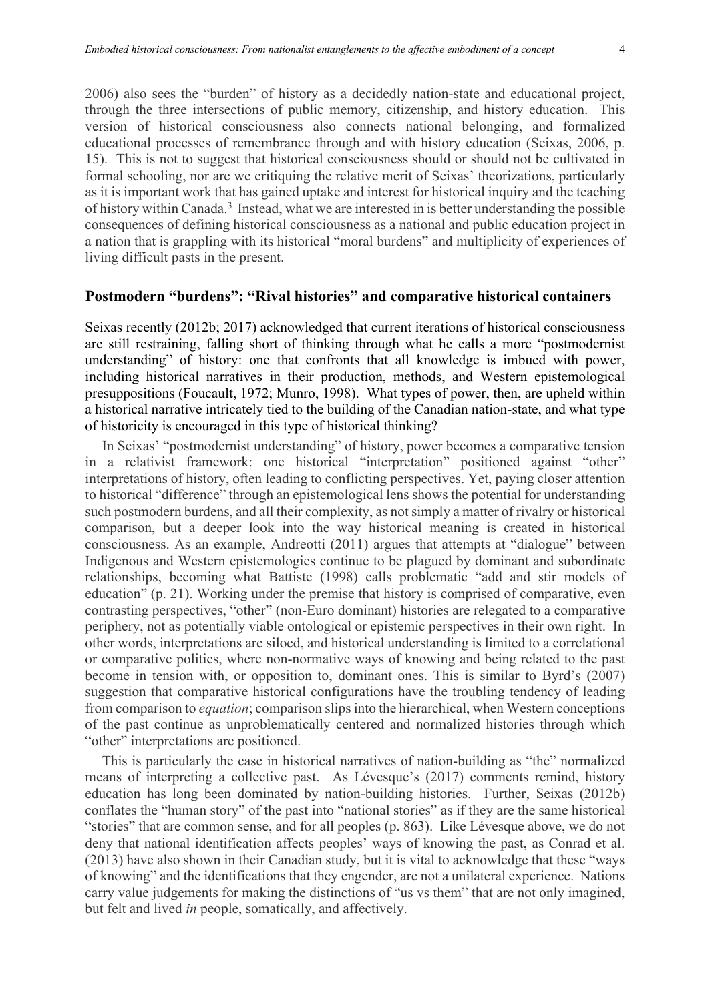2006) also sees the "burden" of history as a decidedly nation-state and educational project, through the three intersections of public memory, citizenship, and history education. This version of historical consciousness also connects national belonging, and formalized educational processes of remembrance through and with history education (Seixas, 2006, p. 15). This is not to suggest that historical consciousness should or should not be cultivated in formal schooling, nor are we critiquing the relative merit of Seixas' theorizations, particularly as it is important work that has gained uptake and interest for historical inquiry and the teaching of history within Canada.3 Instead, what we are interested in is better understanding the possible consequences of defining historical consciousness as a national and public education project in a nation that is grappling with its historical "moral burdens" and multiplicity of experiences of living difficult pasts in the present.

### **Postmodern "burdens": "Rival histories" and comparative historical containers**

Seixas recently (2012b; 2017) acknowledged that current iterations of historical consciousness are still restraining, falling short of thinking through what he calls a more "postmodernist understanding" of history: one that confronts that all knowledge is imbued with power, including historical narratives in their production, methods, and Western epistemological presuppositions (Foucault, 1972; Munro, 1998). What types of power, then, are upheld within a historical narrative intricately tied to the building of the Canadian nation-state, and what type of historicity is encouraged in this type of historical thinking?

In Seixas' "postmodernist understanding" of history, power becomes a comparative tension in a relativist framework: one historical "interpretation" positioned against "other" interpretations of history, often leading to conflicting perspectives. Yet, paying closer attention to historical "difference" through an epistemological lens shows the potential for understanding such postmodern burdens, and all their complexity, as not simply a matter of rivalry or historical comparison, but a deeper look into the way historical meaning is created in historical consciousness. As an example, Andreotti (2011) argues that attempts at "dialogue" between Indigenous and Western epistemologies continue to be plagued by dominant and subordinate relationships, becoming what Battiste (1998) calls problematic "add and stir models of education" (p. 21). Working under the premise that history is comprised of comparative, even contrasting perspectives, "other" (non-Euro dominant) histories are relegated to a comparative periphery, not as potentially viable ontological or epistemic perspectives in their own right. In other words, interpretations are siloed, and historical understanding is limited to a correlational or comparative politics, where non-normative ways of knowing and being related to the past become in tension with, or opposition to, dominant ones. This is similar to Byrd's (2007) suggestion that comparative historical configurations have the troubling tendency of leading from comparison to *equation*; comparison slips into the hierarchical, when Western conceptions of the past continue as unproblematically centered and normalized histories through which "other" interpretations are positioned.

This is particularly the case in historical narratives of nation-building as "the" normalized means of interpreting a collective past. As Lévesque's (2017) comments remind, history education has long been dominated by nation-building histories. Further, Seixas (2012b) conflates the "human story" of the past into "national stories" as if they are the same historical "stories" that are common sense, and for all peoples (p. 863). Like Lévesque above, we do not deny that national identification affects peoples' ways of knowing the past, as Conrad et al. (2013) have also shown in their Canadian study, but it is vital to acknowledge that these "ways of knowing" and the identifications that they engender, are not a unilateral experience. Nations carry value judgements for making the distinctions of "us vs them" that are not only imagined, but felt and lived *in* people, somatically, and affectively.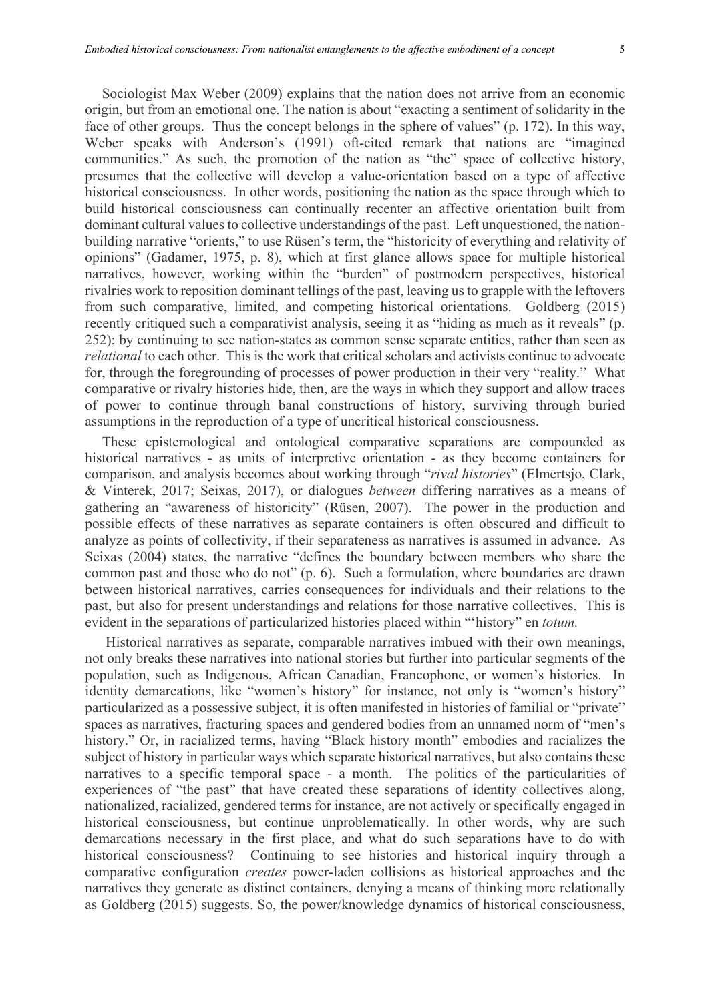Sociologist Max Weber (2009) explains that the nation does not arrive from an economic origin, but from an emotional one. The nation is about "exacting a sentiment of solidarity in the face of other groups. Thus the concept belongs in the sphere of values" (p. 172). In this way, Weber speaks with Anderson's (1991) oft-cited remark that nations are "imagined communities." As such, the promotion of the nation as "the" space of collective history, presumes that the collective will develop a value-orientation based on a type of affective historical consciousness. In other words, positioning the nation as the space through which to build historical consciousness can continually recenter an affective orientation built from dominant cultural values to collective understandings of the past. Left unquestioned, the nationbuilding narrative "orients," to use Rüsen's term, the "historicity of everything and relativity of opinions" (Gadamer, 1975, p. 8), which at first glance allows space for multiple historical narratives, however, working within the "burden" of postmodern perspectives, historical rivalries work to reposition dominant tellings of the past, leaving us to grapple with the leftovers from such comparative, limited, and competing historical orientations. Goldberg (2015) recently critiqued such a comparativist analysis, seeing it as "hiding as much as it reveals" (p. 252); by continuing to see nation-states as common sense separate entities, rather than seen as *relational* to each other. This is the work that critical scholars and activists continue to advocate for, through the foregrounding of processes of power production in their very "reality." What comparative or rivalry histories hide, then, are the ways in which they support and allow traces of power to continue through banal constructions of history, surviving through buried assumptions in the reproduction of a type of uncritical historical consciousness.

These epistemological and ontological comparative separations are compounded as historical narratives - as units of interpretive orientation - as they become containers for comparison, and analysis becomes about working through "*rival histories*" (Elmertsjo, Clark, & Vinterek, 2017; Seixas, 2017), or dialogues *between* differing narratives as a means of gathering an "awareness of historicity" (Rüsen, 2007). The power in the production and possible effects of these narratives as separate containers is often obscured and difficult to analyze as points of collectivity, if their separateness as narratives is assumed in advance. As Seixas (2004) states, the narrative "defines the boundary between members who share the common past and those who do not" (p. 6). Such a formulation, where boundaries are drawn between historical narratives, carries consequences for individuals and their relations to the past, but also for present understandings and relations for those narrative collectives. This is evident in the separations of particularized histories placed within "'history" en *totum.*

Historical narratives as separate, comparable narratives imbued with their own meanings, not only breaks these narratives into national stories but further into particular segments of the population, such as Indigenous, African Canadian, Francophone, or women's histories. In identity demarcations, like "women's history" for instance, not only is "women's history" particularized as a possessive subject, it is often manifested in histories of familial or "private" spaces as narratives, fracturing spaces and gendered bodies from an unnamed norm of "men's history." Or, in racialized terms, having "Black history month" embodies and racializes the subject of history in particular ways which separate historical narratives, but also contains these narratives to a specific temporal space - a month. The politics of the particularities of experiences of "the past" that have created these separations of identity collectives along, nationalized, racialized, gendered terms for instance, are not actively or specifically engaged in historical consciousness, but continue unproblematically. In other words, why are such demarcations necessary in the first place, and what do such separations have to do with historical consciousness? Continuing to see histories and historical inquiry through a comparative configuration *creates* power-laden collisions as historical approaches and the narratives they generate as distinct containers, denying a means of thinking more relationally as Goldberg (2015) suggests. So, the power/knowledge dynamics of historical consciousness,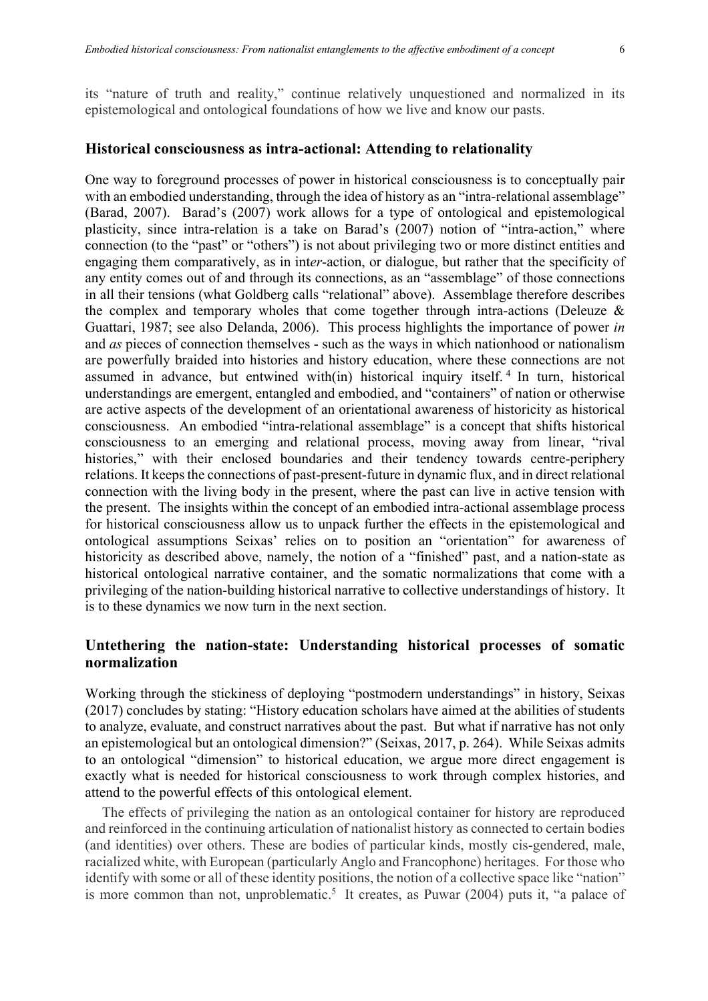its "nature of truth and reality," continue relatively unquestioned and normalized in its epistemological and ontological foundations of how we live and know our pasts.

#### **Historical consciousness as intra-actional: Attending to relationality**

One way to foreground processes of power in historical consciousness is to conceptually pair with an embodied understanding, through the idea of history as an "intra-relational assemblage" (Barad, 2007). Barad's (2007) work allows for a type of ontological and epistemological plasticity, since intra-relation is a take on Barad's (2007) notion of "intra-action," where connection (to the "past" or "others") is not about privileging two or more distinct entities and engaging them comparatively, as in int*er*-action, or dialogue, but rather that the specificity of any entity comes out of and through its connections, as an "assemblage" of those connections in all their tensions (what Goldberg calls "relational" above). Assemblage therefore describes the complex and temporary wholes that come together through intra-actions (Deleuze  $\&$ Guattari, 1987; see also Delanda, 2006). This process highlights the importance of power *in* and *as* pieces of connection themselves - such as the ways in which nationhood or nationalism are powerfully braided into histories and history education, where these connections are not assumed in advance, but entwined with(in) historical inquiry itself. <sup>4</sup> In turn, historical understandings are emergent, entangled and embodied, and "containers" of nation or otherwise are active aspects of the development of an orientational awareness of historicity as historical consciousness. An embodied "intra-relational assemblage" is a concept that shifts historical consciousness to an emerging and relational process, moving away from linear, "rival histories," with their enclosed boundaries and their tendency towards centre-periphery relations. It keeps the connections of past-present-future in dynamic flux, and in direct relational connection with the living body in the present, where the past can live in active tension with the present. The insights within the concept of an embodied intra-actional assemblage process for historical consciousness allow us to unpack further the effects in the epistemological and ontological assumptions Seixas' relies on to position an "orientation" for awareness of historicity as described above, namely, the notion of a "finished" past, and a nation-state as historical ontological narrative container, and the somatic normalizations that come with a privileging of the nation-building historical narrative to collective understandings of history. It is to these dynamics we now turn in the next section.

# **Untethering the nation-state: Understanding historical processes of somatic normalization**

Working through the stickiness of deploying "postmodern understandings" in history, Seixas (2017) concludes by stating: "History education scholars have aimed at the abilities of students to analyze, evaluate, and construct narratives about the past. But what if narrative has not only an epistemological but an ontological dimension?" (Seixas, 2017, p. 264). While Seixas admits to an ontological "dimension" to historical education, we argue more direct engagement is exactly what is needed for historical consciousness to work through complex histories, and attend to the powerful effects of this ontological element.

The effects of privileging the nation as an ontological container for history are reproduced and reinforced in the continuing articulation of nationalist history as connected to certain bodies (and identities) over others. These are bodies of particular kinds, mostly cis-gendered, male, racialized white, with European (particularly Anglo and Francophone) heritages. For those who identify with some or all of these identity positions, the notion of a collective space like "nation" is more common than not, unproblematic.<sup>5</sup> It creates, as Puwar  $(2004)$  puts it, "a palace of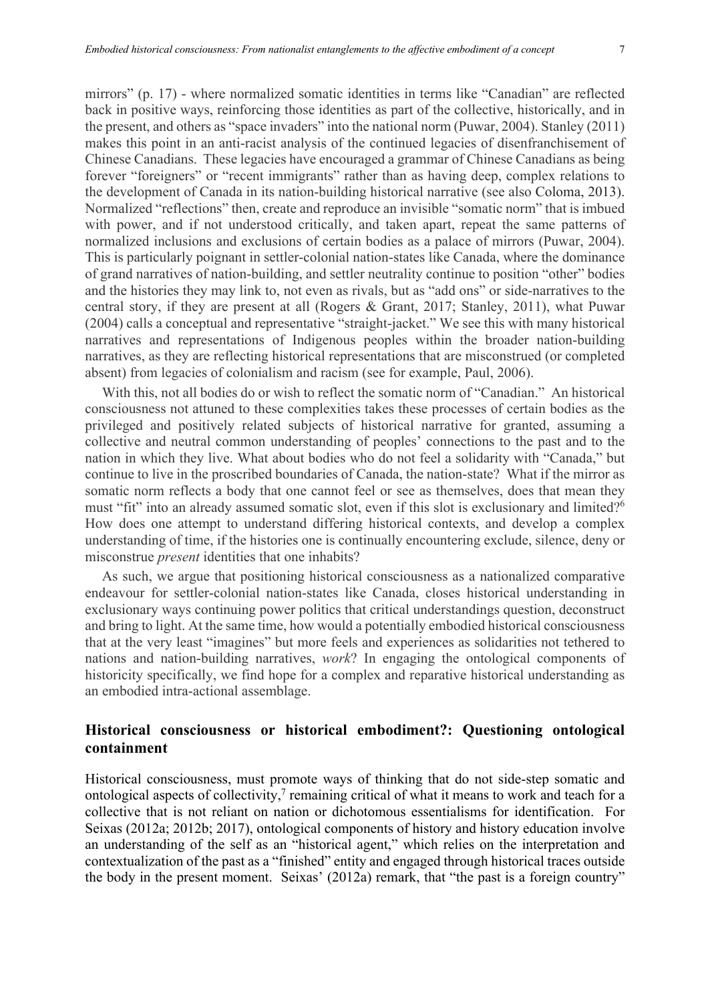mirrors" (p. 17) - where normalized somatic identities in terms like "Canadian" are reflected back in positive ways, reinforcing those identities as part of the collective, historically, and in the present, and others as "space invaders" into the national norm (Puwar, 2004). Stanley (2011) makes this point in an anti-racist analysis of the continued legacies of disenfranchisement of Chinese Canadians. These legacies have encouraged a grammar of Chinese Canadians as being forever "foreigners" or "recent immigrants" rather than as having deep, complex relations to the development of Canada in its nation-building historical narrative (see also Coloma, 2013). Normalized "reflections" then, create and reproduce an invisible "somatic norm" that is imbued with power, and if not understood critically, and taken apart, repeat the same patterns of normalized inclusions and exclusions of certain bodies as a palace of mirrors (Puwar, 2004). This is particularly poignant in settler-colonial nation-states like Canada, where the dominance of grand narratives of nation-building, and settler neutrality continue to position "other" bodies and the histories they may link to, not even as rivals, but as "add ons" or side-narratives to the central story, if they are present at all (Rogers & Grant, 2017; Stanley, 2011), what Puwar (2004) calls a conceptual and representative "straight-jacket." We see this with many historical narratives and representations of Indigenous peoples within the broader nation-building narratives, as they are reflecting historical representations that are misconstrued (or completed absent) from legacies of colonialism and racism (see for example, Paul, 2006).

With this, not all bodies do or wish to reflect the somatic norm of "Canadian." An historical consciousness not attuned to these complexities takes these processes of certain bodies as the privileged and positively related subjects of historical narrative for granted, assuming a collective and neutral common understanding of peoples' connections to the past and to the nation in which they live. What about bodies who do not feel a solidarity with "Canada," but continue to live in the proscribed boundaries of Canada, the nation-state? What if the mirror as somatic norm reflects a body that one cannot feel or see as themselves, does that mean they must "fit" into an already assumed somatic slot, even if this slot is exclusionary and limited?<sup>6</sup> How does one attempt to understand differing historical contexts, and develop a complex understanding of time, if the histories one is continually encountering exclude, silence, deny or misconstrue *present* identities that one inhabits?

As such, we argue that positioning historical consciousness as a nationalized comparative endeavour for settler-colonial nation-states like Canada, closes historical understanding in exclusionary ways continuing power politics that critical understandings question, deconstruct and bring to light. At the same time, how would a potentially embodied historical consciousness that at the very least "imagines" but more feels and experiences as solidarities not tethered to nations and nation-building narratives, *work*? In engaging the ontological components of historicity specifically, we find hope for a complex and reparative historical understanding as an embodied intra-actional assemblage.

# **Historical consciousness or historical embodiment?: Questioning ontological containment**

Historical consciousness, must promote ways of thinking that do not side-step somatic and ontological aspects of collectivity, $\frac{7}{7}$  remaining critical of what it means to work and teach for a collective that is not reliant on nation or dichotomous essentialisms for identification. For Seixas (2012a; 2012b; 2017), ontological components of history and history education involve an understanding of the self as an "historical agent," which relies on the interpretation and contextualization of the past as a "finished" entity and engaged through historical traces outside the body in the present moment. Seixas' (2012a) remark, that "the past is a foreign country"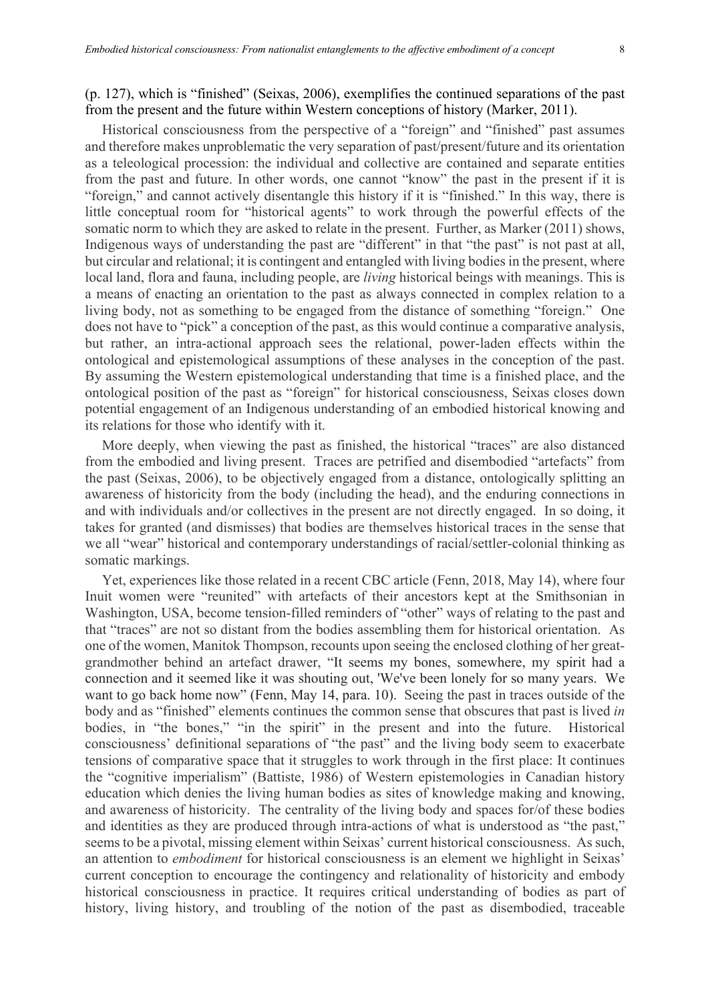(p. 127), which is "finished" (Seixas, 2006), exemplifies the continued separations of the past from the present and the future within Western conceptions of history (Marker, 2011).

Historical consciousness from the perspective of a "foreign" and "finished" past assumes and therefore makes unproblematic the very separation of past/present/future and its orientation as a teleological procession: the individual and collective are contained and separate entities from the past and future. In other words, one cannot "know" the past in the present if it is "foreign," and cannot actively disentangle this history if it is "finished." In this way, there is little conceptual room for "historical agents" to work through the powerful effects of the somatic norm to which they are asked to relate in the present. Further, as Marker (2011) shows, Indigenous ways of understanding the past are "different" in that "the past" is not past at all, but circular and relational; it is contingent and entangled with living bodies in the present, where local land, flora and fauna, including people, are *living* historical beings with meanings. This is a means of enacting an orientation to the past as always connected in complex relation to a living body, not as something to be engaged from the distance of something "foreign." One does not have to "pick" a conception of the past, as this would continue a comparative analysis, but rather, an intra-actional approach sees the relational, power-laden effects within the ontological and epistemological assumptions of these analyses in the conception of the past. By assuming the Western epistemological understanding that time is a finished place, and the ontological position of the past as "foreign" for historical consciousness, Seixas closes down potential engagement of an Indigenous understanding of an embodied historical knowing and its relations for those who identify with it.

More deeply, when viewing the past as finished, the historical "traces" are also distanced from the embodied and living present. Traces are petrified and disembodied "artefacts" from the past (Seixas, 2006), to be objectively engaged from a distance, ontologically splitting an awareness of historicity from the body (including the head), and the enduring connections in and with individuals and/or collectives in the present are not directly engaged. In so doing, it takes for granted (and dismisses) that bodies are themselves historical traces in the sense that we all "wear" historical and contemporary understandings of racial/settler-colonial thinking as somatic markings.

Yet, experiences like those related in a recent CBC article (Fenn, 2018, May 14), where four Inuit women were "reunited" with artefacts of their ancestors kept at the Smithsonian in Washington, USA, become tension-filled reminders of "other" ways of relating to the past and that "traces" are not so distant from the bodies assembling them for historical orientation. As one of the women, Manitok Thompson, recounts upon seeing the enclosed clothing of her greatgrandmother behind an artefact drawer, "It seems my bones, somewhere, my spirit had a connection and it seemed like it was shouting out, 'We've been lonely for so many years. We want to go back home now" (Fenn, May 14, para. 10). Seeing the past in traces outside of the body and as "finished" elements continues the common sense that obscures that past is lived *in*  bodies, in "the bones," "in the spirit" in the present and into the future. Historical consciousness' definitional separations of "the past" and the living body seem to exacerbate tensions of comparative space that it struggles to work through in the first place: It continues the "cognitive imperialism" (Battiste, 1986) of Western epistemologies in Canadian history education which denies the living human bodies as sites of knowledge making and knowing, and awareness of historicity. The centrality of the living body and spaces for/of these bodies and identities as they are produced through intra-actions of what is understood as "the past," seems to be a pivotal, missing element within Seixas' current historical consciousness. As such, an attention to *embodiment* for historical consciousness is an element we highlight in Seixas' current conception to encourage the contingency and relationality of historicity and embody historical consciousness in practice. It requires critical understanding of bodies as part of history, living history, and troubling of the notion of the past as disembodied, traceable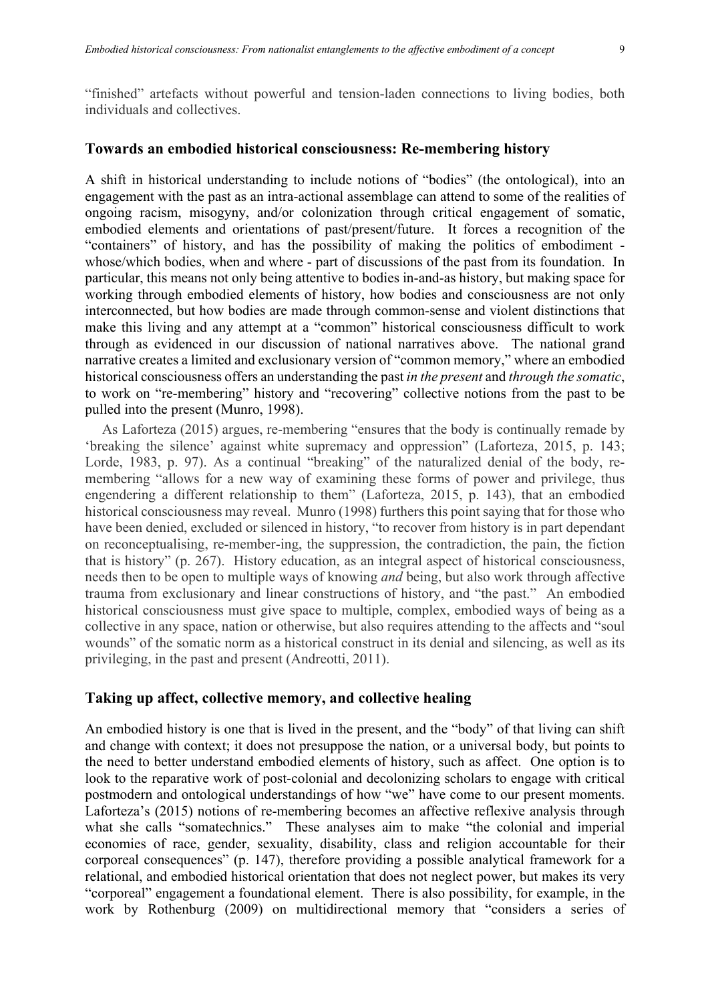"finished" artefacts without powerful and tension-laden connections to living bodies, both individuals and collectives.

#### **Towards an embodied historical consciousness: Re-membering history**

A shift in historical understanding to include notions of "bodies" (the ontological), into an engagement with the past as an intra-actional assemblage can attend to some of the realities of ongoing racism, misogyny, and/or colonization through critical engagement of somatic, embodied elements and orientations of past/present/future. It forces a recognition of the "containers" of history, and has the possibility of making the politics of embodiment whose/which bodies, when and where - part of discussions of the past from its foundation. In particular, this means not only being attentive to bodies in-and-as history, but making space for working through embodied elements of history, how bodies and consciousness are not only interconnected, but how bodies are made through common-sense and violent distinctions that make this living and any attempt at a "common" historical consciousness difficult to work through as evidenced in our discussion of national narratives above. The national grand narrative creates a limited and exclusionary version of "common memory," where an embodied historical consciousness offers an understanding the past *in the present* and *through the somatic*, to work on "re-membering" history and "recovering" collective notions from the past to be pulled into the present (Munro, 1998).

As Laforteza (2015) argues, re-membering "ensures that the body is continually remade by 'breaking the silence' against white supremacy and oppression" (Laforteza, 2015, p. 143; Lorde, 1983, p. 97). As a continual "breaking" of the naturalized denial of the body, remembering "allows for a new way of examining these forms of power and privilege, thus engendering a different relationship to them" (Laforteza, 2015, p. 143), that an embodied historical consciousness may reveal. Munro (1998) furthers this point saying that for those who have been denied, excluded or silenced in history, "to recover from history is in part dependant on reconceptualising, re-member-ing, the suppression, the contradiction, the pain, the fiction that is history" (p. 267). History education, as an integral aspect of historical consciousness, needs then to be open to multiple ways of knowing *and* being, but also work through affective trauma from exclusionary and linear constructions of history, and "the past." An embodied historical consciousness must give space to multiple, complex, embodied ways of being as a collective in any space, nation or otherwise, but also requires attending to the affects and "soul wounds" of the somatic norm as a historical construct in its denial and silencing, as well as its privileging, in the past and present (Andreotti, 2011).

### **Taking up affect, collective memory, and collective healing**

An embodied history is one that is lived in the present, and the "body" of that living can shift and change with context; it does not presuppose the nation, or a universal body, but points to the need to better understand embodied elements of history, such as affect. One option is to look to the reparative work of post-colonial and decolonizing scholars to engage with critical postmodern and ontological understandings of how "we" have come to our present moments. Laforteza's (2015) notions of re-membering becomes an affective reflexive analysis through what she calls "somatechnics." These analyses aim to make "the colonial and imperial economies of race, gender, sexuality, disability, class and religion accountable for their corporeal consequences" (p. 147), therefore providing a possible analytical framework for a relational, and embodied historical orientation that does not neglect power, but makes its very "corporeal" engagement a foundational element. There is also possibility, for example, in the work by Rothenburg (2009) on multidirectional memory that "considers a series of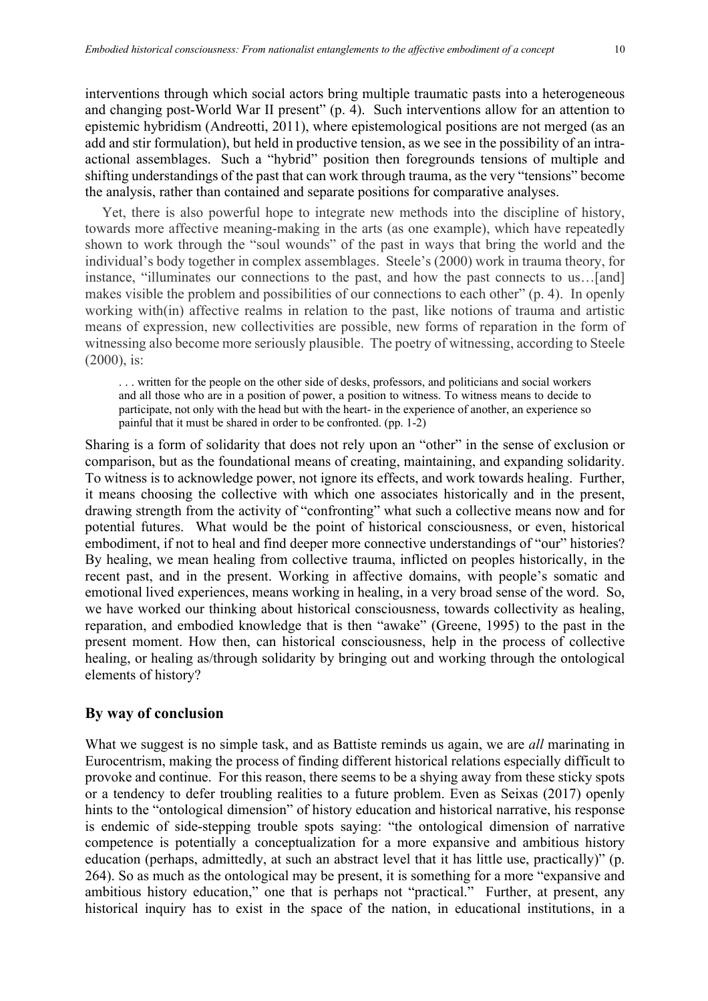interventions through which social actors bring multiple traumatic pasts into a heterogeneous and changing post-World War II present" (p. 4). Such interventions allow for an attention to epistemic hybridism (Andreotti, 2011), where epistemological positions are not merged (as an add and stir formulation), but held in productive tension, as we see in the possibility of an intraactional assemblages. Such a "hybrid" position then foregrounds tensions of multiple and shifting understandings of the past that can work through trauma, as the very "tensions" become the analysis, rather than contained and separate positions for comparative analyses.

Yet, there is also powerful hope to integrate new methods into the discipline of history, towards more affective meaning-making in the arts (as one example), which have repeatedly shown to work through the "soul wounds" of the past in ways that bring the world and the individual's body together in complex assemblages. Steele's (2000) work in trauma theory, for instance, "illuminates our connections to the past, and how the past connects to us…[and] makes visible the problem and possibilities of our connections to each other" (p. 4). In openly working with(in) affective realms in relation to the past, like notions of trauma and artistic means of expression, new collectivities are possible, new forms of reparation in the form of witnessing also become more seriously plausible. The poetry of witnessing, according to Steele (2000), is:

. . . written for the people on the other side of desks, professors, and politicians and social workers and all those who are in a position of power, a position to witness. To witness means to decide to participate, not only with the head but with the heart- in the experience of another, an experience so painful that it must be shared in order to be confronted. (pp. 1-2)

Sharing is a form of solidarity that does not rely upon an "other" in the sense of exclusion or comparison, but as the foundational means of creating, maintaining, and expanding solidarity. To witness is to acknowledge power, not ignore its effects, and work towards healing. Further, it means choosing the collective with which one associates historically and in the present, drawing strength from the activity of "confronting" what such a collective means now and for potential futures. What would be the point of historical consciousness, or even, historical embodiment, if not to heal and find deeper more connective understandings of "our" histories? By healing, we mean healing from collective trauma, inflicted on peoples historically, in the recent past, and in the present. Working in affective domains, with people's somatic and emotional lived experiences, means working in healing, in a very broad sense of the word. So, we have worked our thinking about historical consciousness, towards collectivity as healing, reparation, and embodied knowledge that is then "awake" (Greene, 1995) to the past in the present moment. How then, can historical consciousness, help in the process of collective healing, or healing as/through solidarity by bringing out and working through the ontological elements of history?

# **By way of conclusion**

What we suggest is no simple task, and as Battiste reminds us again, we are *all* marinating in Eurocentrism, making the process of finding different historical relations especially difficult to provoke and continue. For this reason, there seems to be a shying away from these sticky spots or a tendency to defer troubling realities to a future problem. Even as Seixas (2017) openly hints to the "ontological dimension" of history education and historical narrative, his response is endemic of side-stepping trouble spots saying: "the ontological dimension of narrative competence is potentially a conceptualization for a more expansive and ambitious history education (perhaps, admittedly, at such an abstract level that it has little use, practically)" (p. 264). So as much as the ontological may be present, it is something for a more "expansive and ambitious history education," one that is perhaps not "practical." Further, at present, any historical inquiry has to exist in the space of the nation, in educational institutions, in a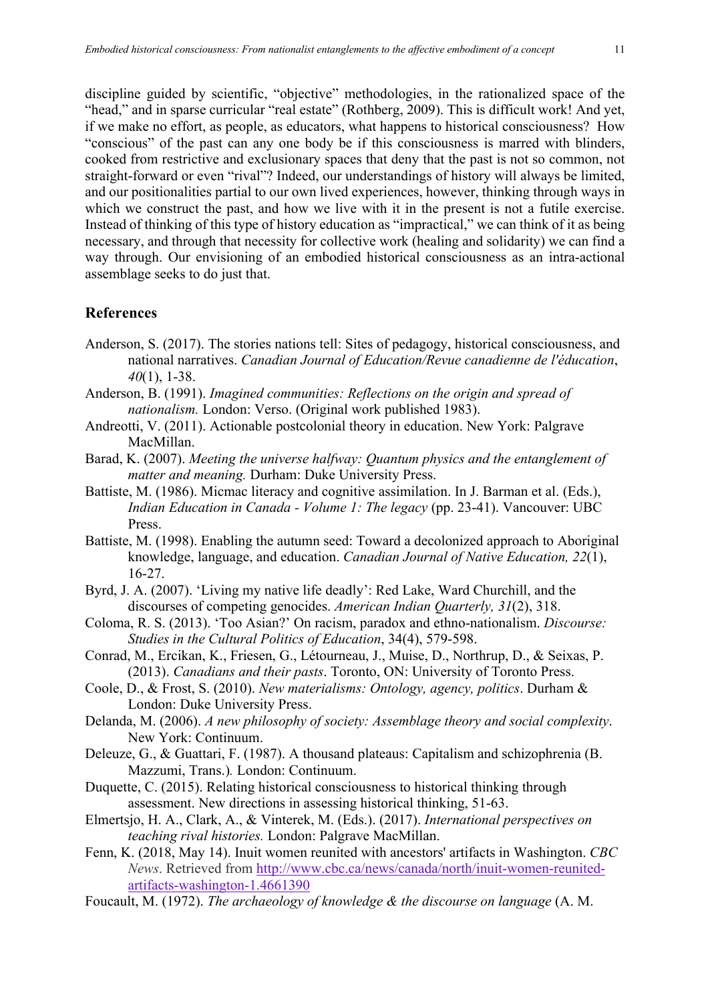discipline guided by scientific, "objective" methodologies, in the rationalized space of the "head," and in sparse curricular "real estate" (Rothberg, 2009). This is difficult work! And yet, if we make no effort, as people, as educators, what happens to historical consciousness? How "conscious" of the past can any one body be if this consciousness is marred with blinders, cooked from restrictive and exclusionary spaces that deny that the past is not so common, not straight-forward or even "rival"? Indeed, our understandings of history will always be limited, and our positionalities partial to our own lived experiences, however, thinking through ways in which we construct the past, and how we live with it in the present is not a futile exercise. Instead of thinking of this type of history education as "impractical," we can think of it as being necessary, and through that necessity for collective work (healing and solidarity) we can find a way through. Our envisioning of an embodied historical consciousness as an intra-actional assemblage seeks to do just that.

# **References**

- Anderson, S. (2017). The stories nations tell: Sites of pedagogy, historical consciousness, and national narratives. *Canadian Journal of Education/Revue canadienne de l'éducation*, *40*(1), 1-38.
- Anderson, B. (1991). *Imagined communities: Reflections on the origin and spread of nationalism.* London: Verso. (Original work published 1983).
- Andreotti, V. (2011). Actionable postcolonial theory in education. New York: Palgrave MacMillan.
- Barad, K. (2007). *Meeting the universe halfway: Quantum physics and the entanglement of matter and meaning.* Durham: Duke University Press.
- Battiste, M. (1986). Micmac literacy and cognitive assimilation. In J. Barman et al. (Eds.), *Indian Education in Canada - Volume 1: The legacy* (pp. 23-41). Vancouver: UBC Press.
- Battiste, M. (1998). Enabling the autumn seed: Toward a decolonized approach to Aboriginal knowledge, language, and education. *Canadian Journal of Native Education, 22*(1), 16-27.
- Byrd, J. A. (2007). 'Living my native life deadly': Red Lake, Ward Churchill, and the discourses of competing genocides. *American Indian Quarterly, 31*(2), 318.
- Coloma, R. S. (2013). 'Too Asian?' On racism, paradox and ethno-nationalism. *Discourse: Studies in the Cultural Politics of Education*, 34(4), 579-598.
- Conrad, M., Ercikan, K., Friesen, G., Létourneau, J., Muise, D., Northrup, D., & Seixas, P. (2013). *Canadians and their pasts*. Toronto, ON: University of Toronto Press.
- Coole, D., & Frost, S. (2010). *New materialisms: Ontology, agency, politics*. Durham & London: Duke University Press.
- Delanda, M. (2006). *A new philosophy of society: Assemblage theory and social complexity*. New York: Continuum.
- Deleuze, G., & Guattari, F. (1987). A thousand plateaus: Capitalism and schizophrenia (B. Mazzumi, Trans.)*.* London: Continuum.
- Duquette, C. (2015). Relating historical consciousness to historical thinking through assessment. New directions in assessing historical thinking, 51-63.
- Elmertsjo, H. A., Clark, A., & Vinterek, M. (Eds.). (2017). *International perspectives on teaching rival histories.* London: Palgrave MacMillan.
- Fenn, K. (2018, May 14). Inuit women reunited with ancestors' artifacts in Washington. *CBC News*. Retrieved from http://www.cbc.ca/news/canada/north/inuit-women-reunitedartifacts-washington-1.4661390
- Foucault, M. (1972). *The archaeology of knowledge & the discourse on language* (A. M.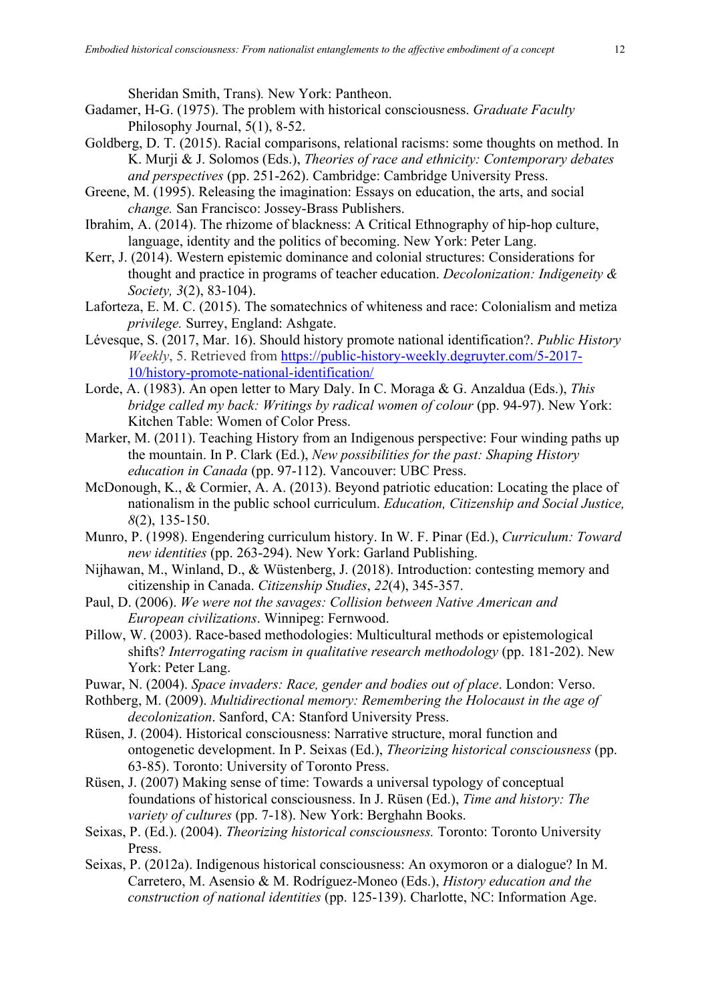Sheridan Smith, Trans)*.* New York: Pantheon.

- Gadamer, H-G. (1975). The problem with historical consciousness. *Graduate Faculty*  Philosophy Journal, 5(1), 8-52.
- Goldberg, D. T. (2015). Racial comparisons, relational racisms: some thoughts on method. In K. Murji & J. Solomos (Eds.), *Theories of race and ethnicity: Contemporary debates and perspectives* (pp. 251-262). Cambridge: Cambridge University Press.
- Greene, M. (1995). Releasing the imagination: Essays on education, the arts, and social *change.* San Francisco: Jossey-Brass Publishers.
- Ibrahim, A. (2014). The rhizome of blackness: A Critical Ethnography of hip-hop culture, language, identity and the politics of becoming. New York: Peter Lang.
- Kerr, J. (2014). Western epistemic dominance and colonial structures: Considerations for thought and practice in programs of teacher education. *Decolonization: Indigeneity & Society, 3*(2), 83-104).
- Laforteza, E. M. C. (2015). The somatechnics of whiteness and race: Colonialism and metiza *privilege.* Surrey, England: Ashgate.
- Lévesque, S. (2017, Mar. 16). Should history promote national identification?. *Public History Weekly*, 5. Retrieved from https://public-history-weekly.degruyter.com/5-2017- 10/history-promote-national-identification/
- Lorde, A. (1983). An open letter to Mary Daly. In C. Moraga & G. Anzaldua (Eds.), *This bridge called my back: Writings by radical women of colour (pp. 94-97). New York:* Kitchen Table: Women of Color Press.
- Marker, M. (2011). Teaching History from an Indigenous perspective: Four winding paths up the mountain. In P. Clark (Ed.), *New possibilities for the past: Shaping History education in Canada* (pp. 97-112). Vancouver: UBC Press.
- McDonough, K., & Cormier, A. A. (2013). Beyond patriotic education: Locating the place of nationalism in the public school curriculum. *Education, Citizenship and Social Justice, 8*(2), 135-150.
- Munro, P. (1998). Engendering curriculum history. In W. F. Pinar (Ed.), *Curriculum: Toward new identities* (pp. 263-294). New York: Garland Publishing.
- Nijhawan, M., Winland, D., & Wüstenberg, J. (2018). Introduction: contesting memory and citizenship in Canada. *Citizenship Studies*, *22*(4), 345-357.
- Paul, D. (2006). *We were not the savages: Collision between Native American and European civilizations*. Winnipeg: Fernwood.
- Pillow, W. (2003). Race-based methodologies: Multicultural methods or epistemological shifts? *Interrogating racism in qualitative research methodology* (pp. 181-202). New York: Peter Lang.
- Puwar, N. (2004). *Space invaders: Race, gender and bodies out of place*. London: Verso.
- Rothberg, M. (2009). *Multidirectional memory: Remembering the Holocaust in the age of decolonization*. Sanford, CA: Stanford University Press.
- Rüsen, J. (2004). Historical consciousness: Narrative structure, moral function and ontogenetic development. In P. Seixas (Ed.), *Theorizing historical consciousness* (pp. 63-85). Toronto: University of Toronto Press.
- Rüsen, J. (2007) Making sense of time: Towards a universal typology of conceptual foundations of historical consciousness. In J. Rüsen (Ed.), *Time and history: The variety of cultures* (pp. 7-18). New York: Berghahn Books.
- Seixas, P. (Ed.). (2004). *Theorizing historical consciousness.* Toronto: Toronto University Press.
- Seixas, P. (2012a). Indigenous historical consciousness: An oxymoron or a dialogue? In M. Carretero, M. Asensio & M. Rodríguez-Moneo (Eds.), *History education and the construction of national identities* (pp. 125-139). Charlotte, NC: Information Age.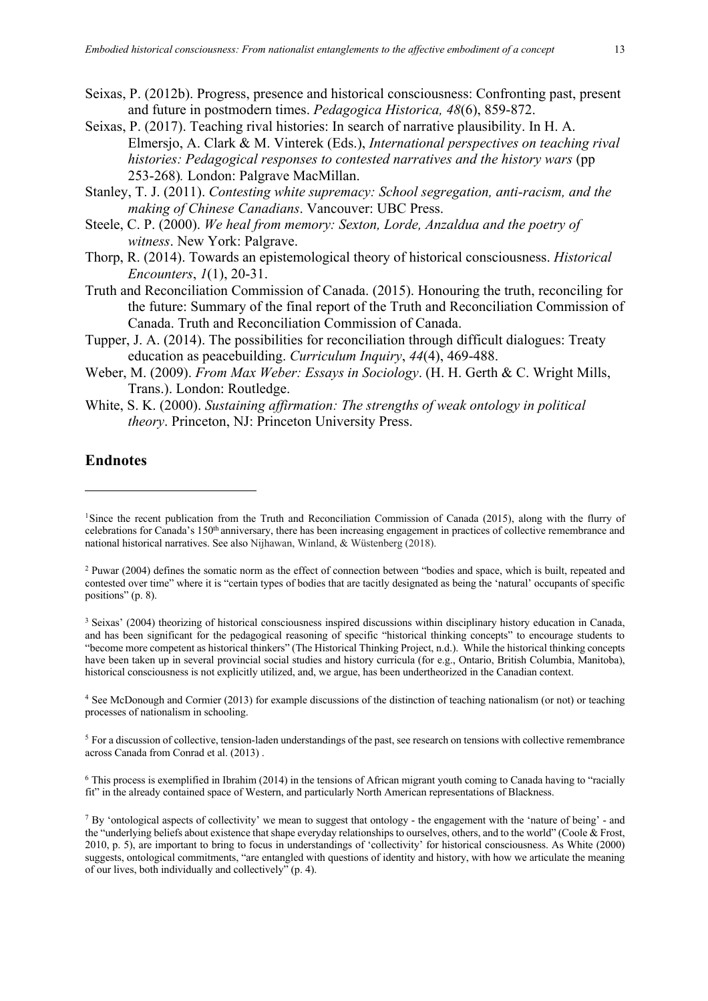- Seixas, P. (2012b). Progress, presence and historical consciousness: Confronting past, present and future in postmodern times. *Pedagogica Historica, 48*(6), 859-872.
- Seixas, P. (2017). Teaching rival histories: In search of narrative plausibility. In H. A. Elmersjo, A. Clark & M. Vinterek (Eds.), *International perspectives on teaching rival histories: Pedagogical responses to contested narratives and the history wars (pp* 253-268)*.* London: Palgrave MacMillan.
- Stanley, T. J. (2011). *Contesting white supremacy: School segregation, anti-racism, and the making of Chinese Canadians*. Vancouver: UBC Press.
- Steele, C. P. (2000). *We heal from memory: Sexton, Lorde, Anzaldua and the poetry of witness*. New York: Palgrave.
- Thorp, R. (2014). Towards an epistemological theory of historical consciousness. *Historical Encounters*, *1*(1), 20-31.
- Truth and Reconciliation Commission of Canada. (2015). Honouring the truth, reconciling for the future: Summary of the final report of the Truth and Reconciliation Commission of Canada. Truth and Reconciliation Commission of Canada.
- Tupper, J. A. (2014). The possibilities for reconciliation through difficult dialogues: Treaty education as peacebuilding. *Curriculum Inquiry*, *44*(4), 469-488.
- Weber, M. (2009). *From Max Weber: Essays in Sociology*. (H. H. Gerth & C. Wright Mills, Trans.). London: Routledge.
- White, S. K. (2000). *Sustaining affirmation: The strengths of weak ontology in political theory*. Princeton, NJ: Princeton University Press.

#### **Endnotes**

<sup>4</sup> See McDonough and Cormier (2013) for example discussions of the distinction of teaching nationalism (or not) or teaching processes of nationalism in schooling.

<sup>5</sup> For a discussion of collective, tension-laden understandings of the past, see research on tensions with collective remembrance across Canada from Conrad et al. (2013) .

 $6$  This process is exemplified in Ibrahim (2014) in the tensions of African migrant youth coming to Canada having to "racially" fit" in the already contained space of Western, and particularly North American representations of Blackness.

<sup>&</sup>lt;sup>1</sup>Since the recent publication from the Truth and Reconciliation Commission of Canada (2015), along with the flurry of celebrations for Canada's 150th anniversary, there has been increasing engagement in practices of collective remembrance and national historical narratives. See also Nijhawan, Winland, & Wüstenberg (2018).

<sup>2</sup> Puwar (2004) defines the somatic norm as the effect of connection between "bodies and space, which is built, repeated and contested over time" where it is "certain types of bodies that are tacitly designated as being the 'natural' occupants of specific positions" (p. 8).

<sup>3</sup> Seixas' (2004) theorizing of historical consciousness inspired discussions within disciplinary history education in Canada, and has been significant for the pedagogical reasoning of specific "historical thinking concepts" to encourage students to "become more competent as historical thinkers" (The Historical Thinking Project, n.d.). While the historical thinking concepts have been taken up in several provincial social studies and history curricula (for e.g., Ontario, British Columbia, Manitoba), historical consciousness is not explicitly utilized, and, we argue, has been undertheorized in the Canadian context.

<sup>7</sup> By 'ontological aspects of collectivity' we mean to suggest that ontology - the engagement with the 'nature of being' - and the "underlying beliefs about existence that shape everyday relationships to ourselves, others, and to the world" (Coole & Frost, 2010, p. 5), are important to bring to focus in understandings of 'collectivity' for historical consciousness. As White (2000) suggests, ontological commitments, "are entangled with questions of identity and history, with how we articulate the meaning of our lives, both individually and collectively" (p. 4).